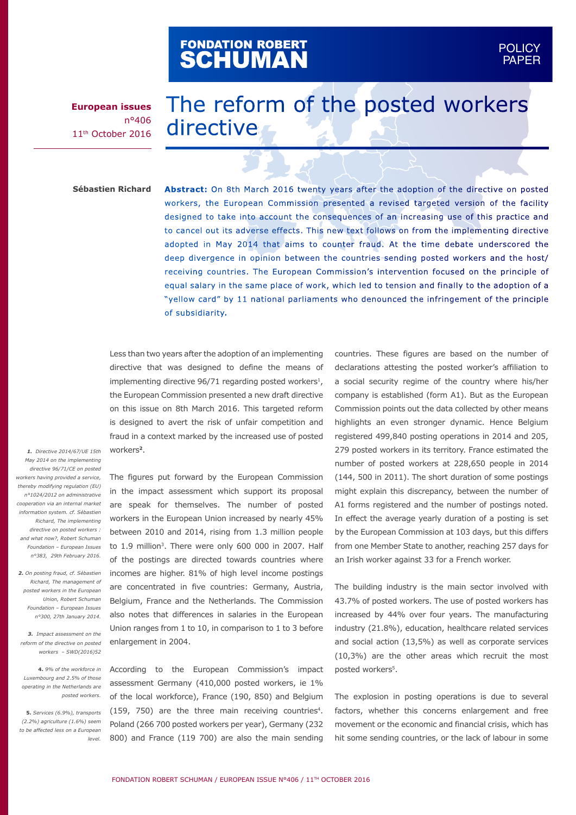# FONDATION ROBERT<br>**SCHUMAN**

**European issues** n°406 11th October 2016

## The reform of the posted workers directive

**Sébastien Richard**

**Abstract:** On 8th March 2016 twenty years after the adoption of the directive on posted workers, the European Commission presented a revised targeted version of the facility designed to take into account the consequences of an increasing use of this practice and to cancel out its adverse effects. This new text follows on from the implementing directive adopted in May 2014 that aims to counter fraud. At the time debate underscored the deep divergence in opinion between the countries sending posted workers and the host/ receiving countries. The European Commission's intervention focused on the principle of equal salary in the same place of work, which led to tension and finally to the adoption of a "yellow card" by 11 national parliaments who denounced the infringement of the principle of subsidiarity.

Less than two years after the adoption of an implementing directive that was designed to define the means of implementing directive 96/71 regarding posted workers<sup>1</sup>, the European Commission presented a new draft directive on this issue on 8th March 2016. This targeted reform is designed to avert the risk of unfair competition and fraud in a context marked by the increased use of posted workers**<sup>2</sup>**.

*1. Directive 2014/67/UE 15th May 2014 on the implementing directive 96/71/CE on posted workers having provided a service, thereby modifying regulation (EU) n°1024/2012 on administrative cooperation via an internal market information system. cf. Sébastien Richard, The implementing directive on posted workers : and what now?, Robert Schuman Foundation – European Issues n°383, 29th February 2016.* 

*2. On posting fraud, cf. Sébastien Richard, The management of posted workers in the European Union, Robert Schuman Foundation – European Issues n°300, 27th January 2014.*

*3. Impact assessment on the reform of the directive on posted workers – SWD(2016)52*

*Luxembourg and 2.5% of those operating in the Netherlands are posted workers.* 

*(2.2%) agriculture (1.6%) seem to be affected less on a European level.* 

The figures put forward by the European Commission in the impact assessment which support its proposal are speak for themselves. The number of posted workers in the European Union increased by nearly 45% between 2010 and 2014, rising from 1.3 million people to 1.9 million<sup>3</sup>. There were only 600 000 in 2007. Half of the postings are directed towards countries where incomes are higher. 81% of high level income postings are concentrated in five countries: Germany, Austria, Belgium, France and the Netherlands. The Commission also notes that differences in salaries in the European Union ranges from 1 to 10, in comparison to 1 to 3 before enlargement in 2004.

**4.** *9% of the workforce in*  According to the European Commission's impact **5.** *Services (6.9%), transports*  (159, 750) are the three main receiving countries4. assessment Germany (410,000 posted workers, ie 1% of the local workforce), France (190, 850) and Belgium Poland (266 700 posted workers per year), Germany (232 800) and France (119 700) are also the main sending

countries. These figures are based on the number of declarations attesting the posted worker's affiliation to a social security regime of the country where his/her company is established (form A1). But as the European Commission points out the data collected by other means highlights an even stronger dynamic. Hence Belgium registered 499,840 posting operations in 2014 and 205, 279 posted workers in its territory. France estimated the number of posted workers at 228,650 people in 2014 (144, 500 in 2011). The short duration of some postings might explain this discrepancy, between the number of A1 forms registered and the number of postings noted. In effect the average yearly duration of a posting is set by the European Commission at 103 days, but this differs from one Member State to another, reaching 257 days for an Irish worker against 33 for a French worker.

The building industry is the main sector involved with 43.7% of posted workers. The use of posted workers has increased by 44% over four years. The manufacturing industry (21.8%), education, healthcare related services and social action (13,5%) as well as corporate services (10,3%) are the other areas which recruit the most posted workers<sup>5</sup>.

The explosion in posting operations is due to several factors, whether this concerns enlargement and free movement or the economic and financial crisis, which has hit some sending countries, or the lack of labour in some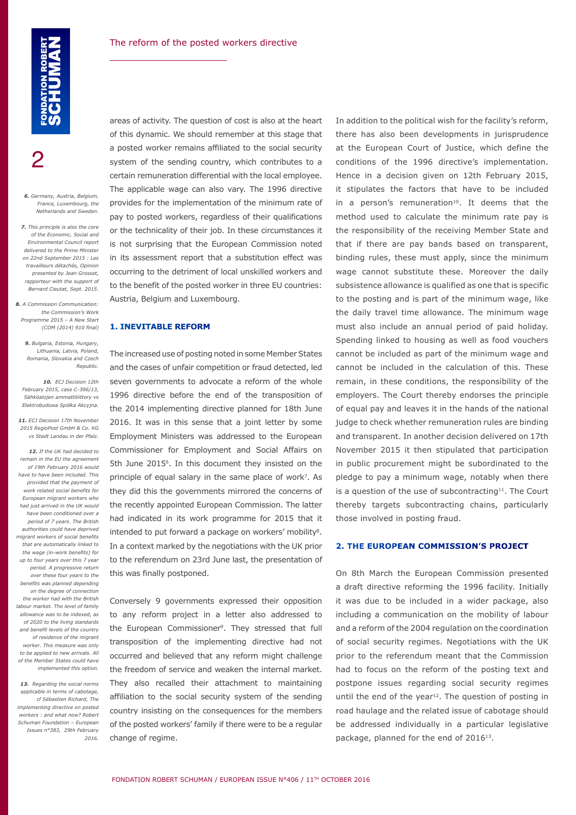2

*6. Germany, Austria, Belgium, France, Luxembourg, the Netherlands and Sweden.* 

*7. This principle is also the core of the Economic, Social and Environmental Council report delivered to the Prime Minister on 22nd September 2015 : Les travailleurs détachés, Opinion presented by Jean Grosset, rapporteur with the support of Bernard Cieutat, Sept. 2015.* 

*8. A Commission Communication: the Commission's Work Programme 2015 – A New Start (COM (2014) 910 final)*

*9. Bulgaria, Estonia, Hungary, Lithuania, Latvia, Poland, Romania, Slovakia and Czech Republic.*

*10. ECJ Decision 12th February 2015, case C‑396/13, Sähköalojen ammattiliittory vs Elektrobudowa Spółka Akcyjna.*

*11. ECJ Decision 17th November 2015 RegioPost GmbH & Co. KG vs Stadt Landau in der Pfalz.*

*12. If the UK had decided to remain in the EU the agreement of 19th February 2016 would have to have been included. This provided that the payment of work related social benefits for European migrant workers who had just arrived in the UK would have been conditioned over a period of 7 years. The British authorities could have deprived migrant workers of social benefits that are automatically linked to the wage (in-work benefits) for up to four years over this 7 year period. A progressive return over these four years to the benefits was planned depending on the degree of connection the worker had with the British labour market. The level of family allowance was to be indexed, as of 2020 to the living standards and benefit levels of the country of residence of the migrant worker. This measure was only to be applied to new arrivals. All of the Member States could have implemented this option.*

*13. Regarding the social norms applicable in terms of cabotage, cf Sébastien Richard, The implementing directive on posted workers : and what now? Robert Schuman Foundation – European Issues n°383, 29th February 2016.* 

areas of activity. The question of cost is also at the heart of this dynamic. We should remember at this stage that a posted worker remains affiliated to the social security system of the sending country, which contributes to a certain remuneration differential with the local employee. The applicable wage can also vary. The 1996 directive provides for the implementation of the minimum rate of pay to posted workers, regardless of their qualifications or the technicality of their job. In these circumstances it is not surprising that the European Commission noted in its assessment report that a substitution effect was occurring to the detriment of local unskilled workers and to the benefit of the posted worker in three EU countries: Austria, Belgium and Luxembourg.

#### **1. INEVITABLE REFORM**

The increased use of posting noted in some Member States and the cases of unfair competition or fraud detected, led seven governments to advocate a reform of the whole 1996 directive before the end of the transposition of the 2014 implementing directive planned for 18th June 2016. It was in this sense that a joint letter by some Employment Ministers was addressed to the European Commissioner for Employment and Social Affairs on 5th June 2015<sup>6</sup>. In this document they insisted on the principle of equal salary in the same place of work<sup>7</sup>. As they did this the governments mirrored the concerns of the recently appointed European Commission. The latter had indicated in its work programme for 2015 that it intended to put forward a package on workers' mobility<sup>8</sup>. In a context marked by the negotiations with the UK prior to the referendum on 23rd June last, the presentation of this was finally postponed.

Conversely 9 governments expressed their opposition to any reform project in a letter also addressed to the European Commissioner<sup>9</sup>. They stressed that full transposition of the implementing directive had not occurred and believed that any reform might challenge the freedom of service and weaken the internal market. They also recalled their attachment to maintaining affiliation to the social security system of the sending country insisting on the consequences for the members of the posted workers' family if there were to be a regular change of regime.

In addition to the political wish for the facility's reform, there has also been developments in jurisprudence at the European Court of Justice, which define the conditions of the 1996 directive's implementation. Hence in a decision given on 12th February 2015, it stipulates the factors that have to be included in a person's remuneration $10$ . It deems that the method used to calculate the minimum rate pay is the responsibility of the receiving Member State and that if there are pay bands based on transparent, binding rules, these must apply, since the minimum wage cannot substitute these. Moreover the daily subsistence allowance is qualified as one that is specific to the posting and is part of the minimum wage, like the daily travel time allowance. The minimum wage must also include an annual period of paid holiday. Spending linked to housing as well as food vouchers cannot be included as part of the minimum wage and cannot be included in the calculation of this. These remain, in these conditions, the responsibility of the employers. The Court thereby endorses the principle of equal pay and leaves it in the hands of the national judge to check whether remuneration rules are binding and transparent. In another decision delivered on 17th November 2015 it then stipulated that participation in public procurement might be subordinated to the pledge to pay a minimum wage, notably when there is a question of the use of subcontracting $11$ . The Court thereby targets subcontracting chains, particularly those involved in posting fraud.

#### **2. THE EUROPEAN COMMISSION'S PROJECT**

On 8th March the European Commission presented a draft directive reforming the 1996 facility. Initially it was due to be included in a wider package, also including a communication on the mobility of labour and a reform of the 2004 regulation on the coordination of social security regimes. Negotiations with the UK prior to the referendum meant that the Commission had to focus on the reform of the posting text and postpone issues regarding social security regimes until the end of the year<sup>12</sup>. The question of posting in road haulage and the related issue of cabotage should be addressed individually in a particular legislative package, planned for the end of 2016<sup>13</sup>.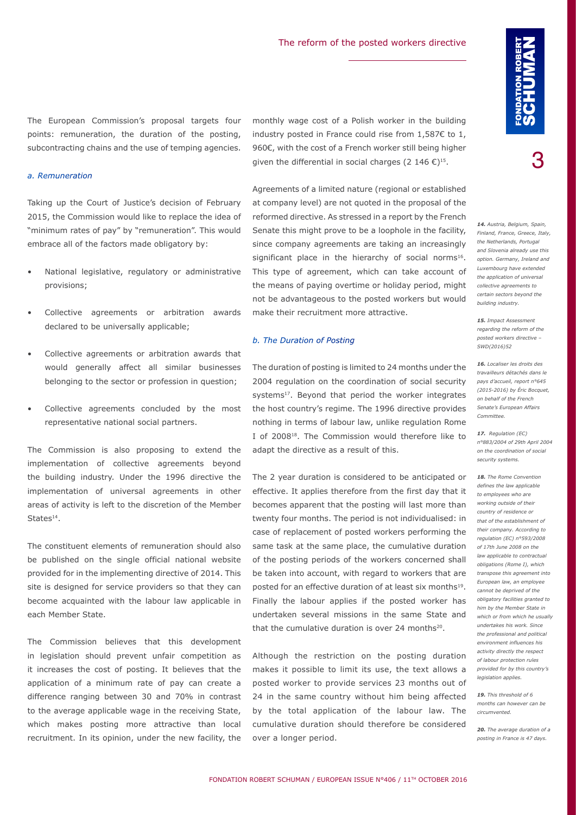The European Commission's proposal targets four points: remuneration, the duration of the posting, subcontracting chains and the use of temping agencies.

#### *a. Remuneration*

Taking up the Court of Justice's decision of February 2015, the Commission would like to replace the idea of "minimum rates of pay" by "remuneration". This would embrace all of the factors made obligatory by:

- National legislative, regulatory or administrative provisions;
- Collective agreements or arbitration awards declared to be universally applicable;
- Collective agreements or arbitration awards that would generally affect all similar businesses belonging to the sector or profession in question;
- Collective agreements concluded by the most representative national social partners.

The Commission is also proposing to extend the implementation of collective agreements beyond the building industry. Under the 1996 directive the implementation of universal agreements in other areas of activity is left to the discretion of the Member States<sup>14</sup>

The constituent elements of remuneration should also be published on the single official national website provided for in the implementing directive of 2014. This site is designed for service providers so that they can become acquainted with the labour law applicable in each Member State.

The Commission believes that this development in legislation should prevent unfair competition as it increases the cost of posting. It believes that the application of a minimum rate of pay can create a difference ranging between 30 and 70% in contrast to the average applicable wage in the receiving State, which makes posting more attractive than local recruitment. In its opinion, under the new facility, the

monthly wage cost of a Polish worker in the building industry posted in France could rise from 1,587€ to 1, 960€, with the cost of a French worker still being higher given the differential in social charges (2 146  $\epsilon$ )<sup>15</sup>.

Agreements of a limited nature (regional or established at company level) are not quoted in the proposal of the reformed directive. As stressed in a report by the French Senate this might prove to be a loophole in the facility, since company agreements are taking an increasingly significant place in the hierarchy of social norms<sup>16</sup>. This type of agreement, which can take account of the means of paying overtime or holiday period, might not be advantageous to the posted workers but would make their recruitment more attractive.

#### *b. The Duration of Posting*

The duration of posting is limited to 24 months under the 2004 regulation on the coordination of social security systems<sup>17</sup>. Beyond that period the worker integrates the host country's regime. The 1996 directive provides nothing in terms of labour law, unlike regulation Rome I of 200818. The Commission would therefore like to adapt the directive as a result of this.

The 2 year duration is considered to be anticipated or effective. It applies therefore from the first day that it becomes apparent that the posting will last more than twenty four months. The period is not individualised: in case of replacement of posted workers performing the same task at the same place, the cumulative duration of the posting periods of the workers concerned shall be taken into account, with regard to workers that are posted for an effective duration of at least six months<sup>19</sup>. Finally the labour applies if the posted worker has undertaken several missions in the same State and that the cumulative duration is over 24 months<sup>20</sup>.

Although the restriction on the posting duration makes it possible to limit its use, the text allows a posted worker to provide services 23 months out of 24 in the same country without him being affected by the total application of the labour law. The cumulative duration should therefore be considered over a longer period.

3

*14. Austria, Belgium, Spain, Finland, France, Greece, Italy, the Netherlands, Portugal and Slovenia already use this option. Germany, Ireland and Luxembourg have extended the application of universal collective agreements to certain sectors beyond the building industry.*

*15. Impact Assessment regarding the reform of the posted workers directive – SWD(2016)52*

*16. Localiser les droits des travailleurs détachés dans le pays d'accueil, report n°645 (2015-2016) by Éric Bocquet, on behalf of the French Senate's European Affairs Committee.*

*17. Regulation (EC) n°883/2004 of 29th April 2004 on the coordination of social security systems.*

*18. The Rome Convention defines the law applicable to employees who are working outside of their country of residence or that of the establishment of their company. According to regulation (EC) n°593/2008 of 17th June 2008 on the law applicable to contractual obligations (Rome I), which transpose this agreement into European law, an employee cannot be deprived of the obligatory facilities granted to him by the Member State in which or from which he usually undertakes his work. Since the professional and political environment influences his activity directly the respect of labour protection rules provided for by this country's legislation applies.*

*19. This threshold of 6 months can however can be circumvented.*

*20. The average duration of a posting in France is 47 days.*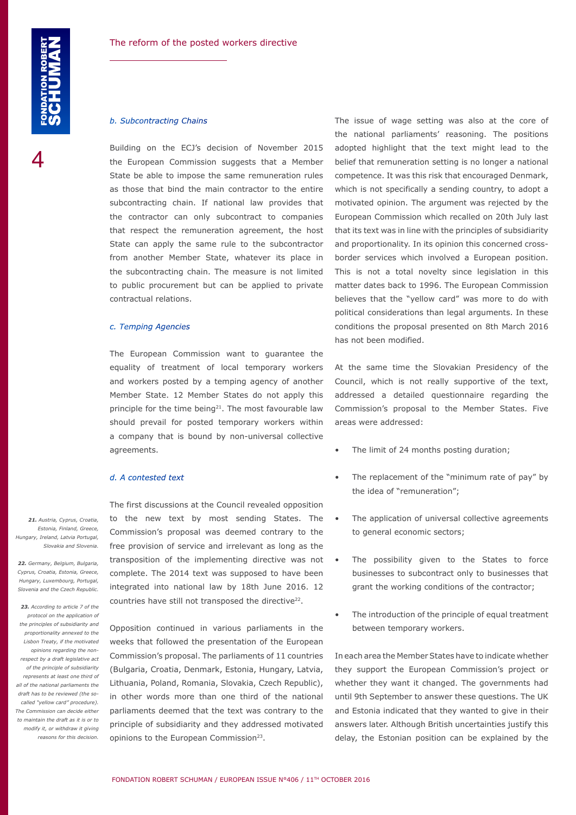4

#### *b. Subcontracting Chains*

Building on the ECJ's decision of November 2015 the European Commission suggests that a Member State be able to impose the same remuneration rules as those that bind the main contractor to the entire subcontracting chain. If national law provides that the contractor can only subcontract to companies that respect the remuneration agreement, the host State can apply the same rule to the subcontractor from another Member State, whatever its place in the subcontracting chain. The measure is not limited to public procurement but can be applied to private contractual relations.

#### *c. Temping Agencies*

The European Commission want to guarantee the equality of treatment of local temporary workers and workers posted by a temping agency of another Member State. 12 Member States do not apply this principle for the time being<sup>21</sup>. The most favourable law should prevail for posted temporary workers within a company that is bound by non-universal collective agreements.

#### *d. A contested text*

The first discussions at the Council revealed opposition to the new text by most sending States. The Commission's proposal was deemed contrary to the free provision of service and irrelevant as long as the transposition of the implementing directive was not complete. The 2014 text was supposed to have been integrated into national law by 18th June 2016. 12 countries have still not transposed the directive<sup>22</sup>.

Opposition continued in various parliaments in the weeks that followed the presentation of the European Commission's proposal. The parliaments of 11 countries (Bulgaria, Croatia, Denmark, Estonia, Hungary, Latvia, Lithuania, Poland, Romania, Slovakia, Czech Republic), in other words more than one third of the national parliaments deemed that the text was contrary to the principle of subsidiarity and they addressed motivated opinions to the European Commission<sup>23</sup>.

The issue of wage setting was also at the core of the national parliaments' reasoning. The positions adopted highlight that the text might lead to the belief that remuneration setting is no longer a national competence. It was this risk that encouraged Denmark, which is not specifically a sending country, to adopt a motivated opinion. The argument was rejected by the European Commission which recalled on 20th July last that its text was in line with the principles of subsidiarity and proportionality. In its opinion this concerned crossborder services which involved a European position. This is not a total novelty since legislation in this matter dates back to 1996. The European Commission believes that the "yellow card" was more to do with political considerations than legal arguments. In these conditions the proposal presented on 8th March 2016 has not been modified.

At the same time the Slovakian Presidency of the Council, which is not really supportive of the text, addressed a detailed questionnaire regarding the Commission's proposal to the Member States. Five areas were addressed:

- The limit of 24 months posting duration;
- The replacement of the "minimum rate of pay" by the idea of "remuneration";
- The application of universal collective agreements to general economic sectors;
- The possibility given to the States to force businesses to subcontract only to businesses that grant the working conditions of the contractor;
- The introduction of the principle of equal treatment between temporary workers.

In each area the Member States have to indicate whether they support the European Commission's project or whether they want it changed. The governments had until 9th September to answer these questions. The UK and Estonia indicated that they wanted to give in their answers later. Although British uncertainties justify this delay, the Estonian position can be explained by the

*21. Austria, Cyprus, Croatia, Estonia, Finland, Greece, Hungary, Ireland, Latvia Portugal, Slovakia and Slovenia.*

*22. Germany, Belgium, Bulgaria, Cyprus, Croatia, Estonia, Greece, Hungary, Luxembourg, Portugal, Slovenia and the Czech Republic.*

*23. According to article 7 of the protocol on the application of the principles of subsidiarity and proportionality annexed to the Lisbon Treaty, if the motivated opinions regarding the nonrespect by a draft legislative act of the principle of subsidiarity represents at least one third of all of the national parliaments the draft has to be reviewed (the socalled "yellow card" procedure). The Commission can decide either to maintain the draft as it is or to modify it, or withdraw it giving reasons for this decision.*